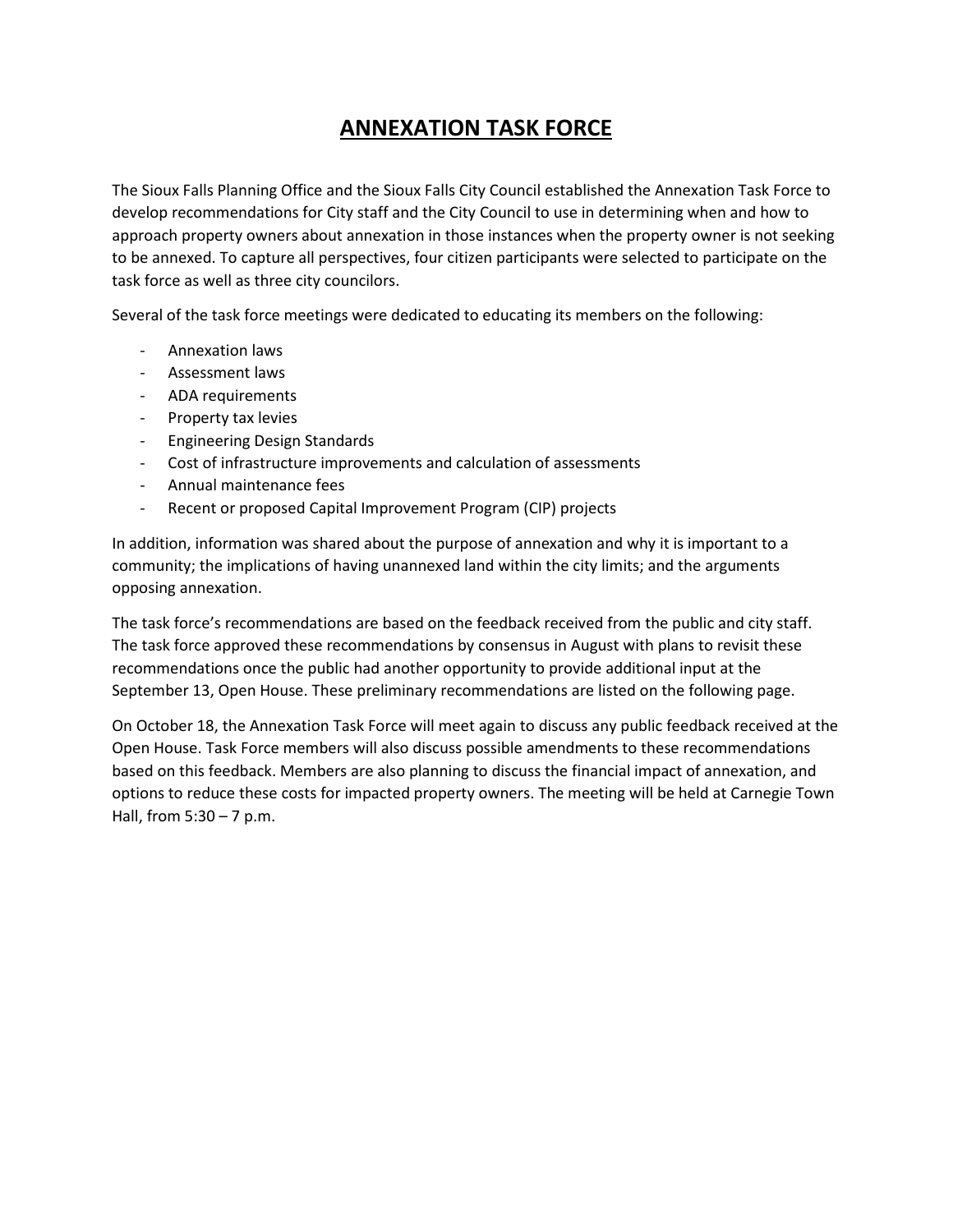# **ANNEXATION TASK FORCE**

The Sioux Falls Planning Office and the Sioux Falls City Council established the Annexation Task Force to develop recommendations for City staff and the City Council to use in determining when and how to approach property owners about annexation in those instances when the property owner is not seeking to be annexed. To capture all perspectives, four citizen participants were selected to participate on the task force as well as three city councilors.

Several of the task force meetings were dedicated to educating its members on the following:

- Annexation laws
- Assessment laws
- ADA requirements
- Property tax levies
- Engineering Design Standards
- Cost of infrastructure improvements and calculation of assessments
- Annual maintenance fees
- Recent or proposed Capital Improvement Program (CIP) projects

In addition, information was shared about the purpose of annexation and why it is important to a community; the implications of having unannexed land within the city limits; and the arguments opposing annexation.

The task force's recommendations are based on the feedback received from the public and city staff. The task force approved these recommendations by consensus in August with plans to revisit these recommendations once the public had another opportunity to provide additional input at the September 13, Open House. These preliminary recommendations are listed on the following page.

On October 18, the Annexation Task Force will meet again to discuss any public feedback received at the Open House. Task Force members will also discuss possible amendments to these recommendations based on this feedback. Members are also planning to discuss the financial impact of annexation, and options to reduce these costs for impacted property owners. The meeting will be held at Carnegie Town Hall, from 5:30 – 7 p.m.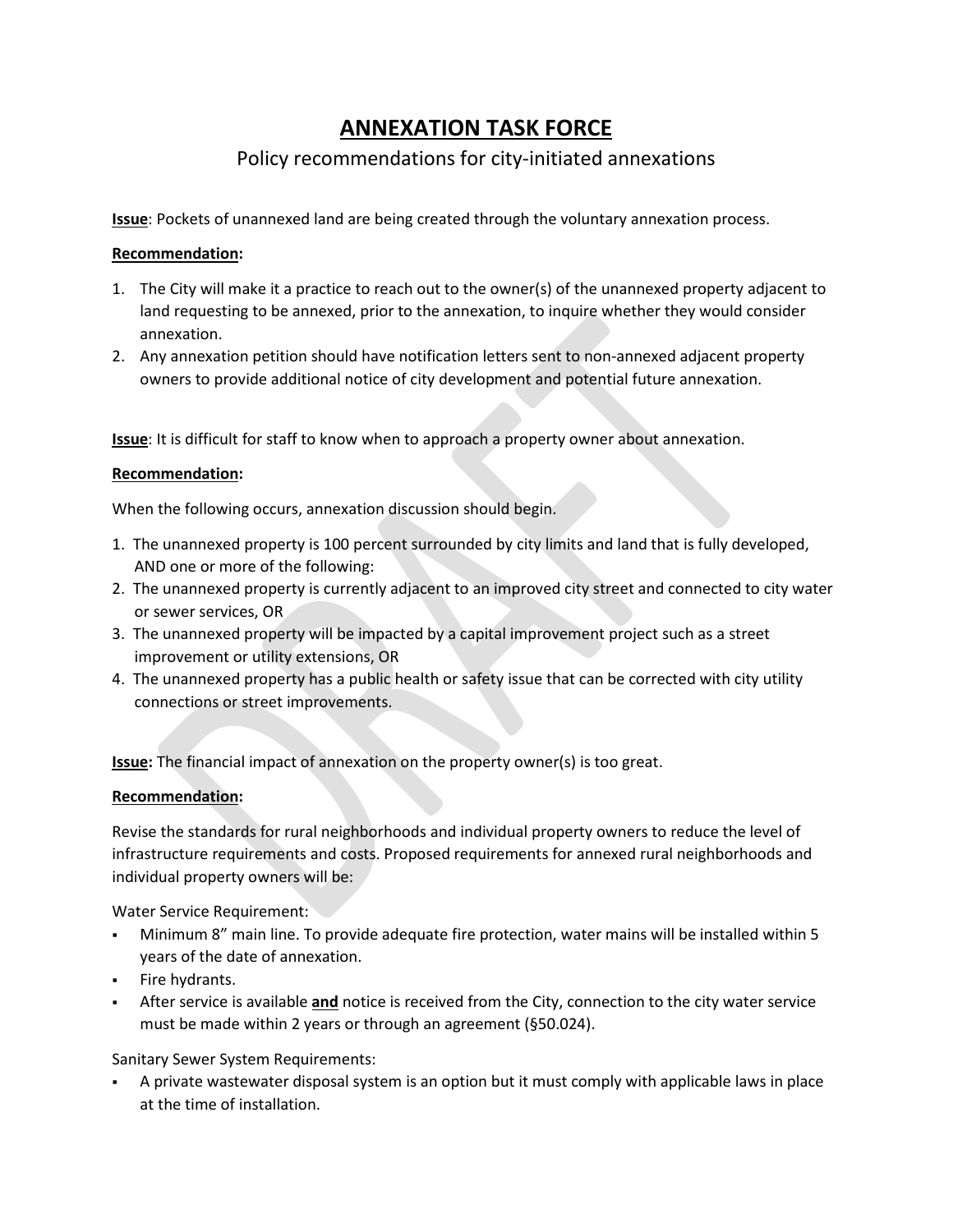# **ANNEXATION TASK FORCE**

# Policy recommendations for city-initiated annexations

**Issue**: Pockets of unannexed land are being created through the voluntary annexation process.

## **Recommendation:**

- 1. The City will make it a practice to reach out to the owner(s) of the unannexed property adjacent to land requesting to be annexed, prior to the annexation, to inquire whether they would consider annexation.
- 2. Any annexation petition should have notification letters sent to non-annexed adjacent property owners to provide additional notice of city development and potential future annexation.

**Issue**: It is difficult for staff to know when to approach a property owner about annexation.

## **Recommendation:**

When the following occurs, annexation discussion should begin.

- 1. The unannexed property is 100 percent surrounded by city limits and land that is fully developed, AND one or more of the following:
- 2. The unannexed property is currently adjacent to an improved city street and connected to city water or sewer services, OR
- 3. The unannexed property will be impacted by a capital improvement project such as a street improvement or utility extensions, OR
- 4. The unannexed property has a public health or safety issue that can be corrected with city utility connections or street improvements.

**Issue:** The financial impact of annexation on the property owner(s) is too great.

#### **Recommendation:**

Revise the standards for rural neighborhoods and individual property owners to reduce the level of infrastructure requirements and costs. Proposed requirements for annexed rural neighborhoods and individual property owners will be:

Water Service Requirement:

- Minimum 8" main line. To provide adequate fire protection, water mains will be installed within 5 years of the date of annexation.
- **Fire hydrants.**
- After service is available **and** notice is received from the City, connection to the city water service must be made within 2 years or through an agreement (§50.024).

Sanitary Sewer System Requirements:

 A private wastewater disposal system is an option but it must comply with applicable laws in place at the time of installation.